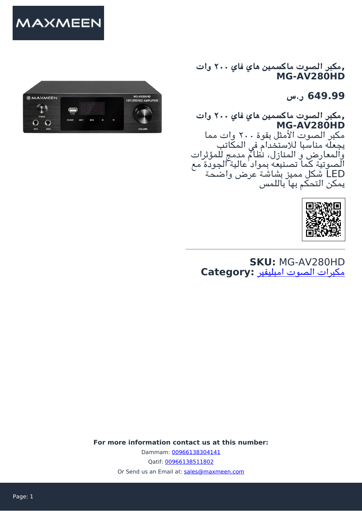

**,مبر الصوت ماكسمين هاي فاي ٢٠٠ وات MG-AV280HD**

**649.99 ر.س**

**,مبر الصوت ماكسمين هاي فاي ٢٠٠ وات MG-AV280HD** مبر الصوت الأمثل بقوة ٢٠٠ وات مما يجعله مناسبا للاستخدام فى المكاتب والمعارض و المنازل، نظام مدمج للمؤثرات الصوتية كما تصنيعه بمواد عالية الجودة مع LED شل مميز بشاشة عرض واضحة يمكن التحكم بها باللمس



**SKU:** MG-AV280HD [مبرات الصوت امبليفير](https://maxmeen.com/product-category/%d9%85%d9%83%d8%a8%d8%b1%d8%a7%d8%aa-%d8%a7%d9%84%d8%b5%d9%88%d8%aa-%d8%a7%d9%85%d8%a8%d8%a7%d9%84%d9%8a%d9%81%d9%8a%d8%b1/) **:Category**

**For more information contact us at this number:** Dammam: [00966138304141](#page--1-0) Qatif: [00966138511802](#page--1-0) Or Send us an Email at: [sales@maxmeen.com](mailto:sales@maxmeen.com)

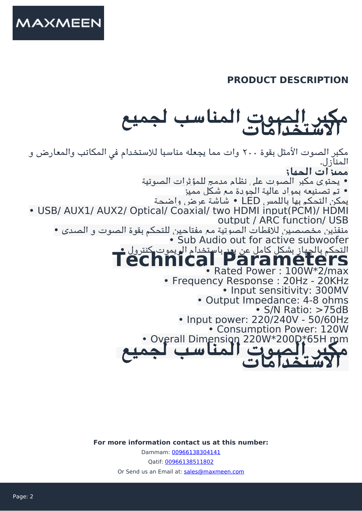

## **PRODUCT DESCRIPTION**

## **الاستخدامات مبر الصوت المناسب لجميع**

مكبر الصوت الأمثل بقوة ٢٠٠ وات مما يجعله مناسبا للاستخدام في المكاتب والمعارض و المنازل. **مميزات الجهاز** • يحتوي مبر الصوت عل نظام مدمج للمؤثرات الصوتية • تم تصنيعه بمواد عالية الجودة مع شل مميز يمكن التحكم بها باللمس LED • شاشة عرض واضحة • USB/ AUX1/ AUX2/ Optical/ Coaxial/ two HDMI input(PCM)/ HDMI output / ARC function/ USB منفذين مخصصين للاقطات الصوتية مع مفتاحين للتحم بقوة الصوت و الصدى • • Sub Audio out for active subwoofer **Parameters Technical** التحم بالجهاز بشل كامل عن بعد باستخدام الريموت كنترول • • Rated Power : 100W\*2/max • Frequency Response : 20Hz - 20KHz • Input sensitivity: 300MV • Output Impedance: 4-8 ohms • S/N Ratio: >75dB • Input power: 220/240V - 50/60Hz • Consumption Power: 120W • Overall Dimension 220W\*200D\*65H mm **لجميع المناسب الصوت برم الاستخدامات**

**For more information contact us at this number:**

Dammam: [00966138304141](#page--1-0)

Qatif: [00966138511802](#page--1-0)

Or Send us an Email at: [sales@maxmeen.com](mailto:sales@maxmeen.com)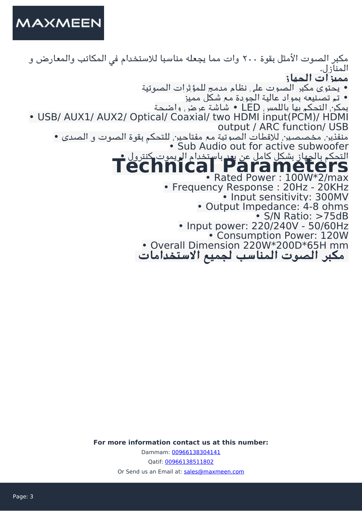

مكبر الصوت الأمثل بقوة ٢٠٠ وات مما يجعله مناسبا للاستخدام في المكاتب والمعارض و المنازل. **مميزات الجهاز** • يحتوي مبر الصوت عل نظام مدمج للمؤثرات الصوتية • تم تصنيعه بمواد عالية الجودة مع شل مميز يمكن التحكم بها باللمس LED ∙ شاشة عرض واضحة • USB/ AUX1/ AUX2/ Optical/ Coaxial/ two HDMI input(PCM)/ HDMI output / ARC function/ USB منفذين مخصصين للاقطات الصوتية مع مفتاحين للتحم بقوة الصوت و الصدى • • Sub Audio out for active subwoofer **Parameters Technical** التحم بالجهاز بشل كامل عن بعد باستخدام الريموت كنترول • • Rated Power : 100W\*2/max • Frequency Response : 20Hz - 20KHz • Input sensitivity: 300MV • Output Impedance: 4-8 ohms • S/N Ratio: >75dB • Input power: 220/240V - 50/60Hz • Consumption Power: 120W • Overall Dimension 220W\*200D\*65H mm  **مبر الصوت المناسب لجميع الاستخدامات** 

**For more information contact us at this number:**

Dammam: [00966138304141](#page--1-0) Qatif: [00966138511802](#page--1-0) Or Send us an Email at: [sales@maxmeen.com](mailto:sales@maxmeen.com)